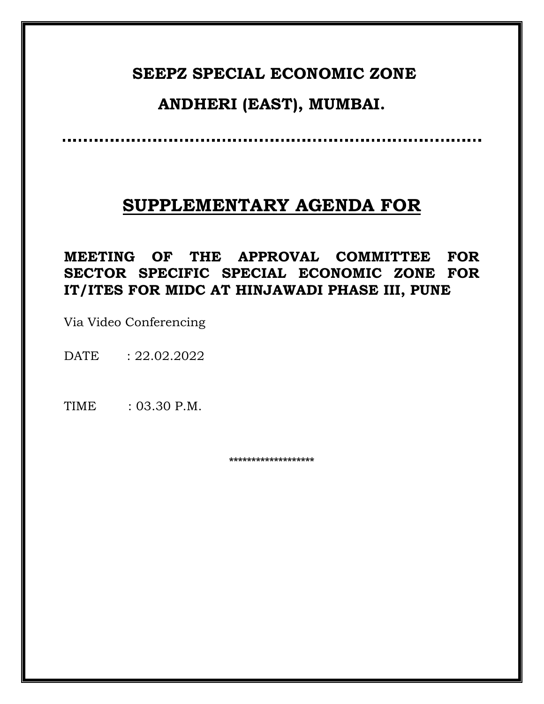## **SEEPZ SPECIAL ECONOMIC ZONE**

# **ANDHERI (EAST), MUMBAI.**

# **SUPPLEMENTARY AGENDA FOR**

**MEETING OF THE APPROVAL COMMITTEE FOR SECTOR SPECIFIC SPECIAL ECONOMIC ZONE FOR IT/ITES FOR MIDC AT HINJAWADI PHASE III, PUNE**

Via Video Conferencing

DATE : 22.02.2022

TIME : 03.30 P.M.

**\*\*\*\*\*\*\*\*\*\*\*\*\*\*\*\*\*\*\***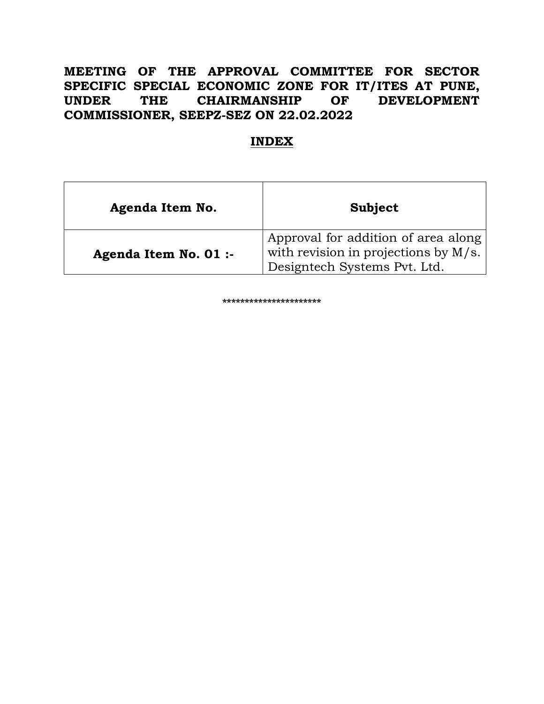## **MEETING OF THE APPROVAL COMMITTEE FOR SECTOR SPECIFIC SPECIAL ECONOMIC ZONE FOR IT/ITES AT PUNE, UNDER THE CHAIRMANSHIP OF DEVELOPMENT COMMISSIONER, SEEPZ-SEZ ON 22.02.2022**

## **INDEX**

| Agenda Item No.       | Subject                                                                                                     |
|-----------------------|-------------------------------------------------------------------------------------------------------------|
| Agenda Item No. 01 :- | Approval for addition of area along<br>with revision in projections by M/s.<br>Designtech Systems Pvt. Ltd. |

**\*\*\*\*\*\*\*\*\*\*\*\*\*\*\*\*\*\*\*\*\*\***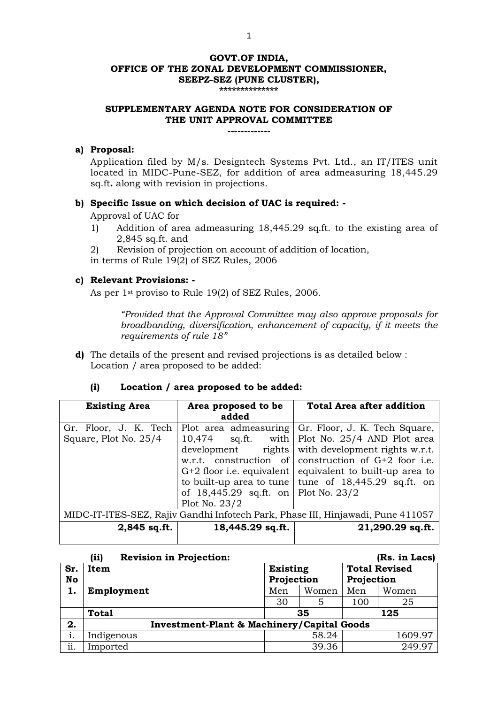#### **GOVT.OF INDIA, OFFICE OF THE ZONAL DEVELOPMENT COMMISSIONER, SEEPZ-SEZ (PUNE CLUSTER), \*\*\*\*\*\*\*\*\*\*\*\*\*\***

### **SUPPLEMENTARY AGENDA NOTE FOR CONSIDERATION OF THE UNIT APPROVAL COMMITTEE**

### **-------------**

#### **a) Proposal:**

Application filed by M/s. Designtech Systems Pvt. Ltd., an IT/ITES unit located in MIDC-Pune-SEZ, for addition of area admeasuring 18,445.29 sq.ft**.** along with revision in projections.

#### **b) Specific Issue on which decision of UAC is required: -**

Approval of UAC for

- 1) Addition of area admeasuring 18,445.29 sq.ft. to the existing area of 2,845 sq.ft. and
- 2) Revision of projection on account of addition of location,
- in terms of Rule 19(2) of SEZ Rules, 2006

#### **c) Relevant Provisions: -**

As per 1st proviso to Rule 19(2) of SEZ Rules, 2006.

*"Provided that the Approval Committee may also approve proposals for broadbanding, diversification, enhancement of capacity, if it meets the requirements of rule 18"*

**d)** The details of the present and revised projections is as detailed below : Location / area proposed to be added:

### **(i) Location / area proposed to be added:**

| <b>Existing Area</b>                                                            | Area proposed to be<br>added                                                                               | <b>Total Area after addition</b>                                                                                                                                                                                                                                                                            |  |  |
|---------------------------------------------------------------------------------|------------------------------------------------------------------------------------------------------------|-------------------------------------------------------------------------------------------------------------------------------------------------------------------------------------------------------------------------------------------------------------------------------------------------------------|--|--|
| Gr. Floor, J. K. Tech<br>Square, Plot No. 25/4                                  | $10,474$ sq.ft. with<br>development<br>w.r.t. construction of<br>of 18,445.29 sq.ft. on<br>Plot No. $23/2$ | Plot area admeasuring Gr. Floor, J. K. Tech Square,<br>Plot No. 25/4 AND Plot area<br>rights with development rights w.r.t.<br>construction of $G+2$ foor i.e.<br>$G+2$ floor i.e. equivalent   equivalent to built-up area to<br>to built-up area to tune tune of $18,445.29$ sq.ft. on<br>Plot No. $23/2$ |  |  |
| MIDC-IT-ITES-SEZ, Rajiv Gandhi Infotech Park, Phase III, Hinjawadi, Pune 411057 |                                                                                                            |                                                                                                                                                                                                                                                                                                             |  |  |
| 2,845 sq.ft.                                                                    | $18,445.29$ sq.ft.                                                                                         | 21,290.29 sq.ft.                                                                                                                                                                                                                                                                                            |  |  |

|           | (ii)                    | <b>Revision in Projection:</b>                        |            |       |            | (Rs. in Lacs)        |  |
|-----------|-------------------------|-------------------------------------------------------|------------|-------|------------|----------------------|--|
| Sr.       | <b>Existing</b><br>Item |                                                       |            |       |            | <b>Total Revised</b> |  |
| <b>No</b> |                         |                                                       | Projection |       | Projection |                      |  |
| 1.        | Employment              |                                                       | Men        | Women | Men        | Women                |  |
|           |                         |                                                       | 30         | 5     | 100        | 25                   |  |
|           | <b>Total</b>            |                                                       |            | 35    |            | 125                  |  |
| 2.        |                         | <b>Investment-Plant &amp; Machinery/Capital Goods</b> |            |       |            |                      |  |
| 1.        | Indigenous              |                                                       |            | 58.24 |            | 1609.97              |  |
| ii.       | Imported                |                                                       |            | 39.36 |            | 249.97               |  |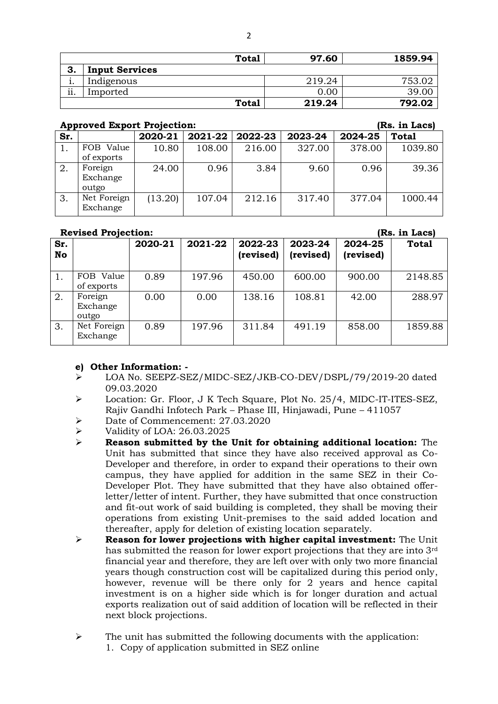|                  |                       | <b>Total</b> | 97.60  | 1859.94 |
|------------------|-----------------------|--------------|--------|---------|
| 3.               | <b>Input Services</b> |              |        |         |
| ٠.               | Indigenous            |              | 219.24 | 753.02  |
| $\cdot$ .<br>11. | Imported              |              | 0.00   | 39.00   |
|                  |                       | <b>Total</b> | 219.24 | 792.02  |

#### **Approved Export Projection: (Rs. in Lacs)**

| Sr. |                              | 2020-21 | $2021 - 22$ | 2022-23 | 2023-24 | 2024-25 | <b>Total</b> |
|-----|------------------------------|---------|-------------|---------|---------|---------|--------------|
|     | FOB Value<br>of exports      | 10.80   | 108.00      | 216.00  | 327.00  | 378.00  | 1039.80      |
| 2.  | Foreign<br>Exchange<br>outgo | 24.00   | 0.96        | 3.84    | 9.60    | 0.96    | 39.36        |
| 3.  | Net Foreign<br>Exchange      | (13.20) | 107.04      | 212.16  | 317.40  | 377.04  | 1000.44      |

#### **Revised Projection: (Rs. in Lacs)**

| Sr.<br>No |                              | 2020-21 | 2021-22 | 2022-23<br>(revised) | 2023-24<br>(revised) | 2024-25<br>(revised) | <b>Total</b> |
|-----------|------------------------------|---------|---------|----------------------|----------------------|----------------------|--------------|
|           | FOB Value<br>of exports      | 0.89    | 197.96  | 450.00               | 600.00               | 900.00               | 2148.85      |
| 2.        | Foreign<br>Exchange<br>outgo | 0.00    | 0.00    | 138.16               | 108.81               | 42.00                | 288.97       |
| 3.        | Net Foreign<br>Exchange      | 0.89    | 197.96  | 311.84               | 491.19               | 858.00               | 1859.88      |

#### **e) Other Information: -**

- LOA No. SEEPZ-SEZ/MIDC-SEZ/JKB-CO-DEV/DSPL/79/2019-20 dated 09.03.2020
- Location: Gr. Floor, J K Tech Square, Plot No. 25/4, MIDC-IT-ITES-SEZ, Rajiv Gandhi Infotech Park – Phase III, Hinjawadi, Pune – 411057
- Date of Commencement: 27.03.2020
- $\blacktriangleright$  Validity of LOA: 26.03.2025
- **Reason submitted by the Unit for obtaining additional location:** The Unit has submitted that since they have also received approval as Co-Developer and therefore, in order to expand their operations to their own campus, they have applied for addition in the same SEZ in their Co-Developer Plot. They have submitted that they have also obtained offerletter/letter of intent. Further, they have submitted that once construction and fit-out work of said building is completed, they shall be moving their operations from existing Unit-premises to the said added location and thereafter, apply for deletion of existing location separately.
- **Reason for lower projections with higher capital investment:** The Unit has submitted the reason for lower export projections that they are into 3rd financial year and therefore, they are left over with only two more financial years though construction cost will be capitalized during this period only, however, revenue will be there only for 2 years and hence capital investment is on a higher side which is for longer duration and actual exports realization out of said addition of location will be reflected in their next block projections.
- $\triangleright$  The unit has submitted the following documents with the application:
	- 1. Copy of application submitted in SEZ online